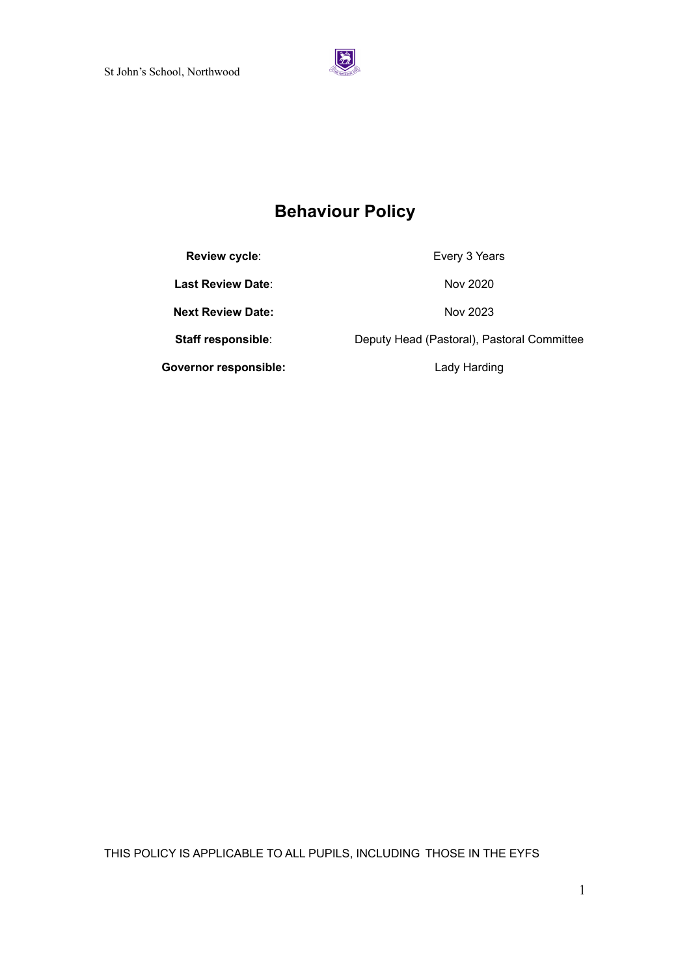

# **Behaviour Policy**

**Review cycle:** Every 3 Years

**Last Review Date:** Nov 2020

**Next Review Date:** Nov 2023

**Governor responsible:** Lady Harding

**Staff responsible**: Deputy Head (Pastoral), Pastoral Committee

THIS POLICY IS APPLICABLE TO ALL PUPILS, INCLUDING THOSE IN THE EYFS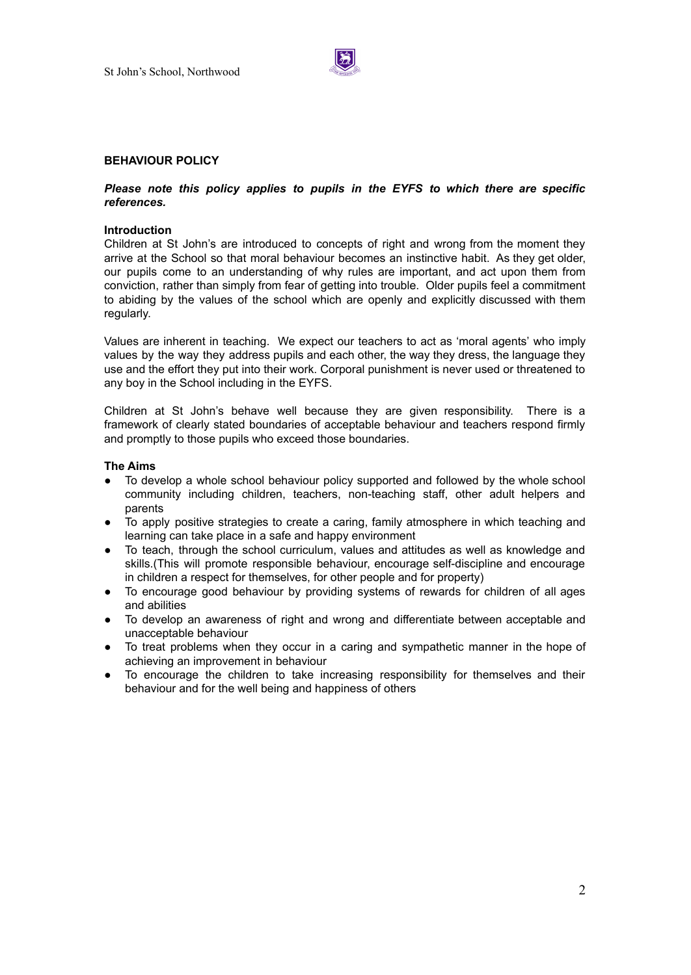

# **BEHAVIOUR POLICY**

# *Please note this policy applies to pupils in the EYFS to which there are specific references.*

## **Introduction**

Children at St John's are introduced to concepts of right and wrong from the moment they arrive at the School so that moral behaviour becomes an instinctive habit. As they get older, our pupils come to an understanding of why rules are important, and act upon them from conviction, rather than simply from fear of getting into trouble. Older pupils feel a commitment to abiding by the values of the school which are openly and explicitly discussed with them regularly.

Values are inherent in teaching. We expect our teachers to act as 'moral agents' who imply values by the way they address pupils and each other, the way they dress, the language they use and the effort they put into their work. Corporal punishment is never used or threatened to any boy in the School including in the EYFS.

Children at St John's behave well because they are given responsibility. There is a framework of clearly stated boundaries of acceptable behaviour and teachers respond firmly and promptly to those pupils who exceed those boundaries.

## **The Aims**

- To develop a whole school behaviour policy supported and followed by the whole school community including children, teachers, non-teaching staff, other adult helpers and parents
- To apply positive strategies to create a caring, family atmosphere in which teaching and learning can take place in a safe and happy environment
- To teach, through the school curriculum, values and attitudes as well as knowledge and skills.(This will promote responsible behaviour, encourage self-discipline and encourage in children a respect for themselves, for other people and for property)
- To encourage good behaviour by providing systems of rewards for children of all ages and abilities
- To develop an awareness of right and wrong and differentiate between acceptable and unacceptable behaviour
- To treat problems when they occur in a caring and sympathetic manner in the hope of achieving an improvement in behaviour
- To encourage the children to take increasing responsibility for themselves and their behaviour and for the well being and happiness of others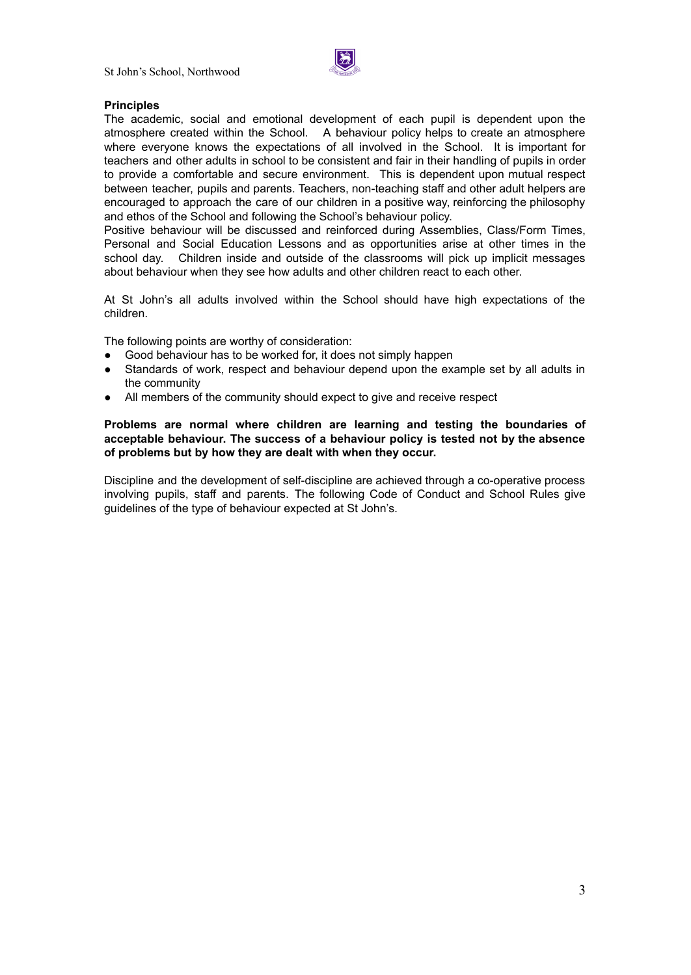

# **Principles**

The academic, social and emotional development of each pupil is dependent upon the atmosphere created within the School. A behaviour policy helps to create an atmosphere where everyone knows the expectations of all involved in the School. It is important for teachers and other adults in school to be consistent and fair in their handling of pupils in order to provide a comfortable and secure environment. This is dependent upon mutual respect between teacher, pupils and parents. Teachers, non-teaching staff and other adult helpers are encouraged to approach the care of our children in a positive way, reinforcing the philosophy and ethos of the School and following the School's behaviour policy.

Positive behaviour will be discussed and reinforced during Assemblies, Class/Form Times, Personal and Social Education Lessons and as opportunities arise at other times in the school day. Children inside and outside of the classrooms will pick up implicit messages about behaviour when they see how adults and other children react to each other.

At St John's all adults involved within the School should have high expectations of the children.

The following points are worthy of consideration:

- Good behaviour has to be worked for, it does not simply happen
- Standards of work, respect and behaviour depend upon the example set by all adults in the community
- All members of the community should expect to give and receive respect

# **Problems are normal where children are learning and testing the boundaries of acceptable behaviour. The success of a behaviour policy is tested not by the absence of problems but by how they are dealt with when they occur.**

Discipline and the development of self-discipline are achieved through a co-operative process involving pupils, staff and parents. The following Code of Conduct and School Rules give guidelines of the type of behaviour expected at St John's.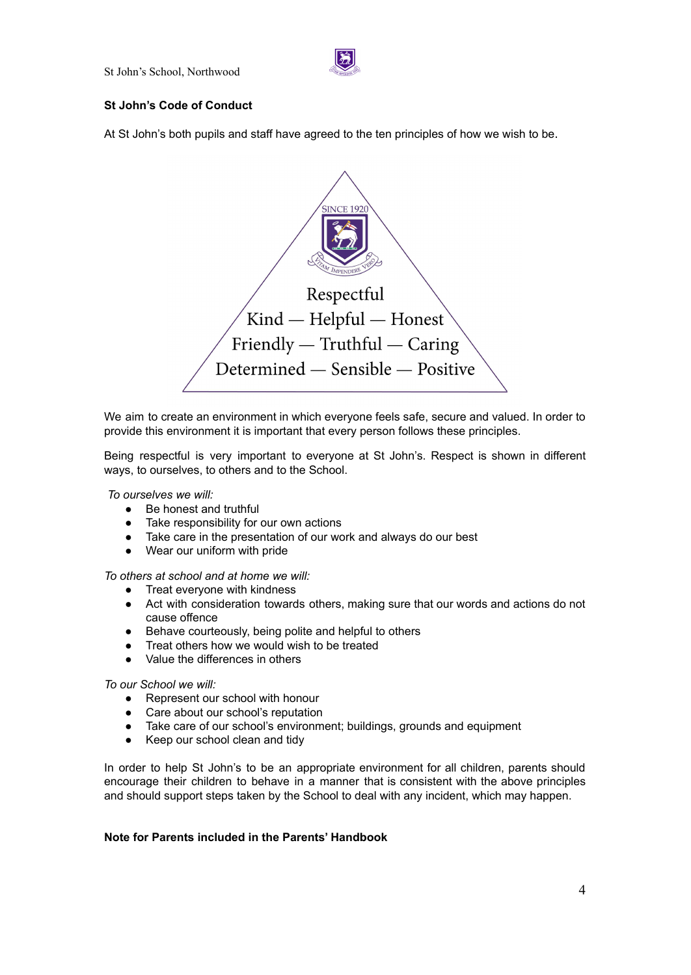

# **St John's Code of Conduct**

At St John's both pupils and staff have agreed to the ten principles of how we wish to be.



We aim to create an environment in which everyone feels safe, secure and valued. In order to provide this environment it is important that every person follows these principles.

Being respectful is very important to everyone at St John's. Respect is shown in different ways, to ourselves, to others and to the School.

*To ourselves we will:*

- Be honest and truthful
- Take responsibility for our own actions
- Take care in the presentation of our work and always do our best
- Wear our uniform with pride

*To others at school and at home we will:*

- Treat everyone with kindness
- Act with consideration towards others, making sure that our words and actions do not cause offence
- Behave courteously, being polite and helpful to others
- Treat others how we would wish to be treated
- Value the differences in others

*To our School we will:*

- Represent our school with honour
- Care about our school's reputation
- Take care of our school's environment; buildings, grounds and equipment
- Keep our school clean and tidy

In order to help St John's to be an appropriate environment for all children, parents should encourage their children to behave in a manner that is consistent with the above principles and should support steps taken by the School to deal with any incident, which may happen.

# **Note for Parents included in the Parents' Handbook**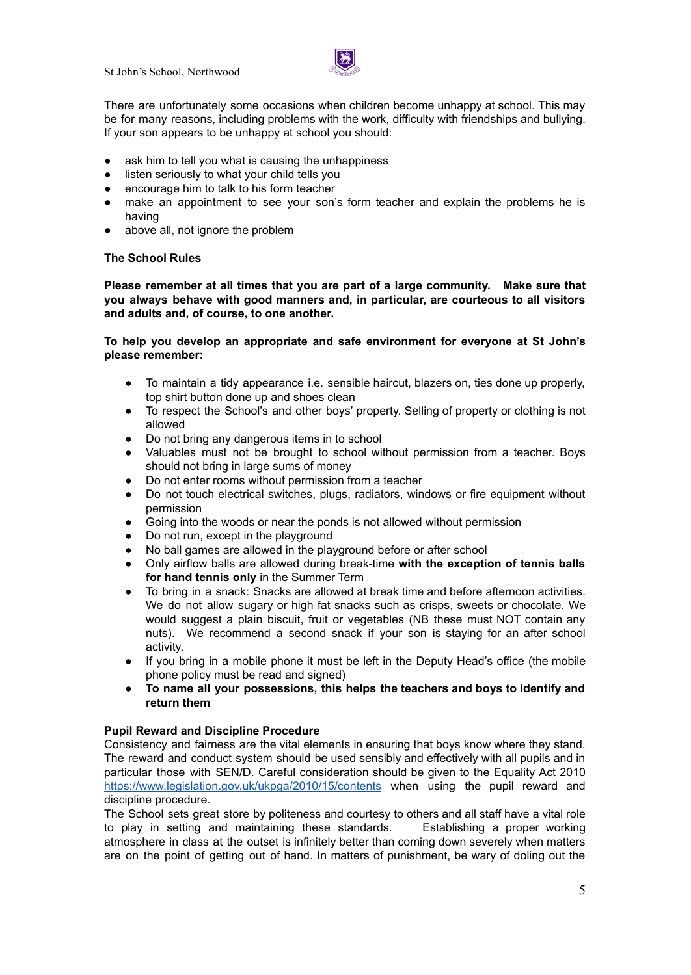

There are unfortunately some occasions when children become unhappy at school. This may be for many reasons, including problems with the work, difficulty with friendships and bullying. If your son appears to be unhappy at school you should:

- ask him to tell you what is causing the unhappiness
- listen seriously to what your child tells you
- encourage him to talk to his form teacher
- make an appointment to see your son's form teacher and explain the problems he is having
- above all, not ignore the problem

# **The School Rules**

**Please remember at all times that you are part of a large community. Make sure that you always behave with good manners and, in particular, are courteous to all visitors and adults and, of course, to one another.**

**To help you develop an appropriate and safe environment for everyone at St John's please remember:**

- To maintain a tidy appearance i.e. sensible haircut, blazers on, ties done up properly, top shirt button done up and shoes clean
- To respect the School's and other boys' property. Selling of property or clothing is not allowed
- Do not bring any dangerous items in to school
- Valuables must not be brought to school without permission from a teacher. Boys should not bring in large sums of money
- Do not enter rooms without permission from a teacher
- Do not touch electrical switches, plugs, radiators, windows or fire equipment without permission
- Going into the woods or near the ponds is not allowed without permission
- Do not run, except in the playground
- No ball games are allowed in the playground before or after school
- Only airflow balls are allowed during break-time **with the exception of tennis balls for hand tennis only** in the Summer Term
- To bring in a snack: Snacks are allowed at break time and before afternoon activities. We do not allow sugary or high fat snacks such as crisps, sweets or chocolate. We would suggest a plain biscuit, fruit or vegetables (NB these must NOT contain any nuts). We recommend a second snack if your son is staying for an after school activity.
- If you bring in a mobile phone it must be left in the Deputy Head's office (the mobile phone policy must be read and signed)
- **To name all your possessions, this helps the teachers and boys to identify and return them**

# **Pupil Reward and Discipline Procedure**

Consistency and fairness are the vital elements in ensuring that boys know where they stand. The reward and conduct system should be used sensibly and effectively with all pupils and in particular those with SEN/D. Careful consideration should be given to the Equality Act 2010 <https://www.legislation.gov.uk/ukpga/2010/15/contents> when using the pupil reward and discipline procedure.

The School sets great store by politeness and courtesy to others and all staff have a vital role to play in setting and maintaining these standards. Establishing a proper working atmosphere in class at the outset is infinitely better than coming down severely when matters are on the point of getting out of hand. In matters of punishment, be wary of doling out the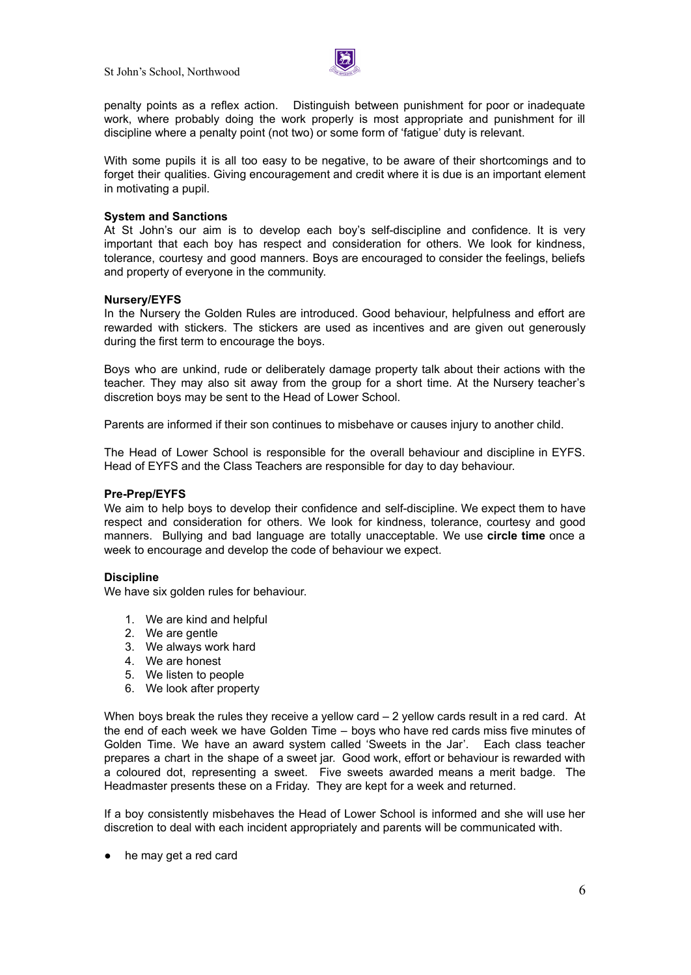

penalty points as a reflex action. Distinguish between punishment for poor or inadequate work, where probably doing the work properly is most appropriate and punishment for ill discipline where a penalty point (not two) or some form of 'fatigue' duty is relevant.

With some pupils it is all too easy to be negative, to be aware of their shortcomings and to forget their qualities. Giving encouragement and credit where it is due is an important element in motivating a pupil.

### **System and Sanctions**

At St John's our aim is to develop each boy's self-discipline and confidence. It is very important that each boy has respect and consideration for others. We look for kindness, tolerance, courtesy and good manners. Boys are encouraged to consider the feelings, beliefs and property of everyone in the community.

## **Nursery/EYFS**

In the Nursery the Golden Rules are introduced. Good behaviour, helpfulness and effort are rewarded with stickers. The stickers are used as incentives and are given out generously during the first term to encourage the boys.

Boys who are unkind, rude or deliberately damage property talk about their actions with the teacher. They may also sit away from the group for a short time. At the Nursery teacher's discretion boys may be sent to the Head of Lower School.

Parents are informed if their son continues to misbehave or causes injury to another child.

The Head of Lower School is responsible for the overall behaviour and discipline in EYFS. Head of EYFS and the Class Teachers are responsible for day to day behaviour.

#### **Pre-Prep/EYFS**

We aim to help boys to develop their confidence and self-discipline. We expect them to have respect and consideration for others. We look for kindness, tolerance, courtesy and good manners. Bullying and bad language are totally unacceptable. We use **circle time** once a week to encourage and develop the code of behaviour we expect.

#### **Discipline**

We have six golden rules for behaviour.

- 1. We are kind and helpful
- 2. We are gentle
- 3. We always work hard
- 4. We are honest
- 5. We listen to people
- 6. We look after property

When boys break the rules they receive a yellow card  $-2$  yellow cards result in a red card. At the end of each week we have Golden Time – boys who have red cards miss five minutes of Golden Time. We have an award system called 'Sweets in the Jar'. Each class teacher prepares a chart in the shape of a sweet jar. Good work, effort or behaviour is rewarded with a coloured dot, representing a sweet. Five sweets awarded means a merit badge. The Headmaster presents these on a Friday. They are kept for a week and returned.

If a boy consistently misbehaves the Head of Lower School is informed and she will use her discretion to deal with each incident appropriately and parents will be communicated with.

● he may get a red card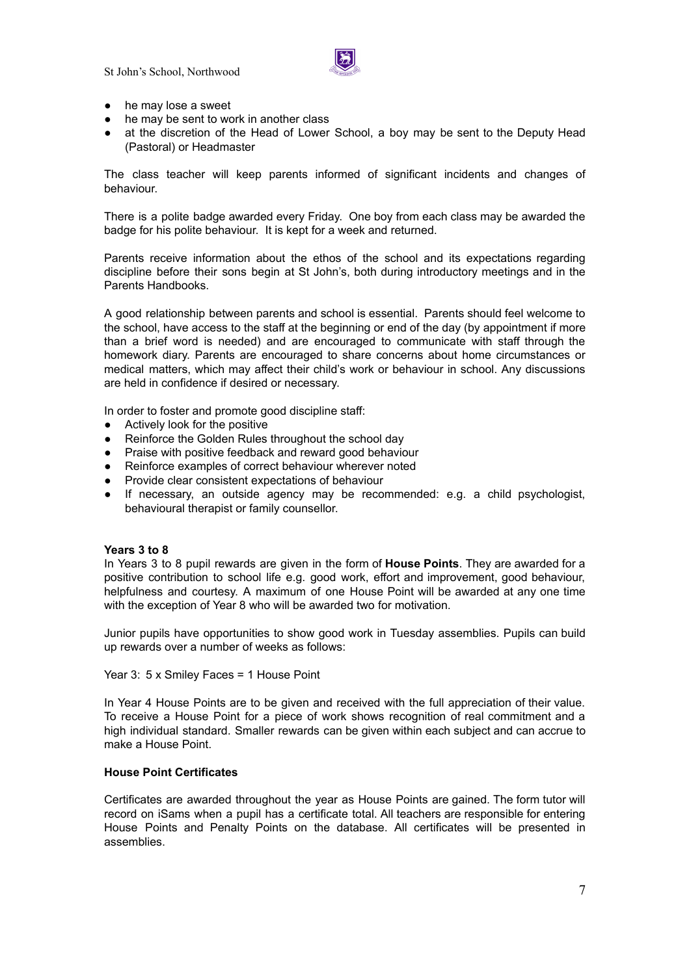St John's School, Northwood



- he may lose a sweet
- he may be sent to work in another class
- at the discretion of the Head of Lower School, a boy may be sent to the Deputy Head (Pastoral) or Headmaster

The class teacher will keep parents informed of significant incidents and changes of behaviour.

There is a polite badge awarded every Friday. One boy from each class may be awarded the badge for his polite behaviour. It is kept for a week and returned.

Parents receive information about the ethos of the school and its expectations regarding discipline before their sons begin at St John's, both during introductory meetings and in the Parents Handbooks.

A good relationship between parents and school is essential. Parents should feel welcome to the school, have access to the staff at the beginning or end of the day (by appointment if more than a brief word is needed) and are encouraged to communicate with staff through the homework diary. Parents are encouraged to share concerns about home circumstances or medical matters, which may affect their child's work or behaviour in school. Any discussions are held in confidence if desired or necessary.

In order to foster and promote good discipline staff:

- Actively look for the positive
- Reinforce the Golden Rules throughout the school day
- Praise with positive feedback and reward good behaviour
- Reinforce examples of correct behaviour wherever noted
- Provide clear consistent expectations of behaviour
- If necessary, an outside agency may be recommended: e.g. a child psychologist, behavioural therapist or family counsellor.

## **Years 3 to 8**

In Years 3 to 8 pupil rewards are given in the form of **House Points**. They are awarded for a positive contribution to school life e.g. good work, effort and improvement, good behaviour, helpfulness and courtesy. A maximum of one House Point will be awarded at any one time with the exception of Year 8 who will be awarded two for motivation.

Junior pupils have opportunities to show good work in Tuesday assemblies. Pupils can build up rewards over a number of weeks as follows:

Year 3: 5 x Smiley Faces = 1 House Point

In Year 4 House Points are to be given and received with the full appreciation of their value. To receive a House Point for a piece of work shows recognition of real commitment and a high individual standard. Smaller rewards can be given within each subject and can accrue to make a House Point.

# **House Point Certificates**

Certificates are awarded throughout the year as House Points are gained. The form tutor will record on iSams when a pupil has a certificate total. All teachers are responsible for entering House Points and Penalty Points on the database. All certificates will be presented in assemblies.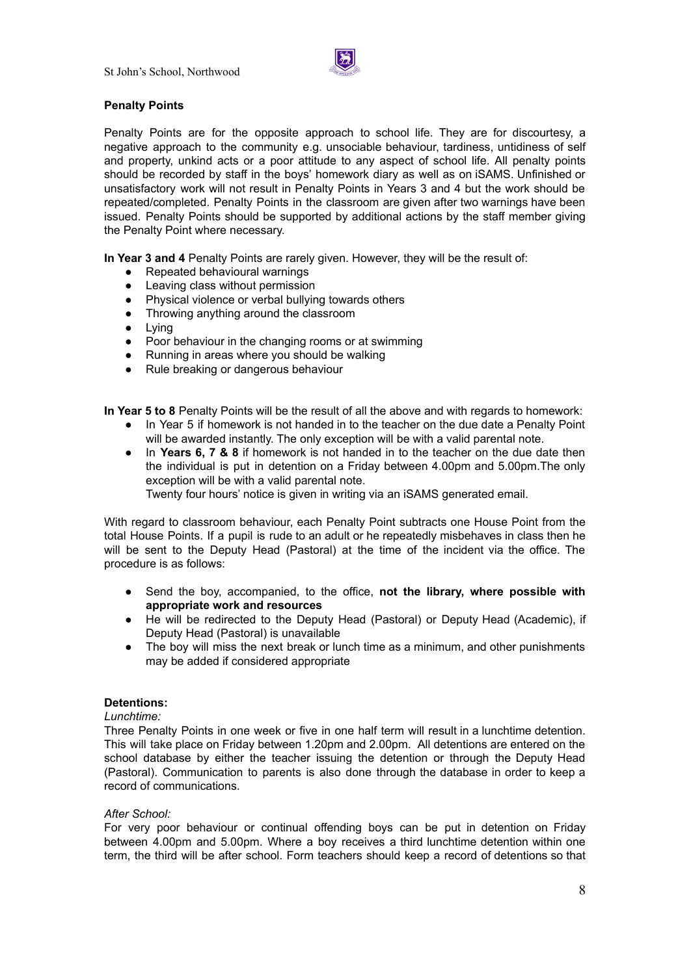

# **Penalty Points**

Penalty Points are for the opposite approach to school life. They are for discourtesy, a negative approach to the community e.g. unsociable behaviour, tardiness, untidiness of self and property, unkind acts or a poor attitude to any aspect of school life. All penalty points should be recorded by staff in the boys' homework diary as well as on iSAMS. Unfinished or unsatisfactory work will not result in Penalty Points in Years 3 and 4 but the work should be repeated/completed. Penalty Points in the classroom are given after two warnings have been issued. Penalty Points should be supported by additional actions by the staff member giving the Penalty Point where necessary.

**In Year 3 and 4** Penalty Points are rarely given. However, they will be the result of:

- Repeated behavioural warnings
- Leaving class without permission
- Physical violence or verbal bullying towards others
- Throwing anything around the classroom
- Lying
- Poor behaviour in the changing rooms or at swimming
- Running in areas where you should be walking
- Rule breaking or dangerous behaviour

**In Year 5 to 8** Penalty Points will be the result of all the above and with regards to homework:

- In Year 5 if homework is not handed in to the teacher on the due date a Penalty Point will be awarded instantly. The only exception will be with a valid parental note.
- In **Years 6, 7 & 8** if homework is not handed in to the teacher on the due date then the individual is put in detention on a Friday between 4.00pm and 5.00pm.The only exception will be with a valid parental note.

Twenty four hours' notice is given in writing via an iSAMS generated email.

With regard to classroom behaviour, each Penalty Point subtracts one House Point from the total House Points. If a pupil is rude to an adult or he repeatedly misbehaves in class then he will be sent to the Deputy Head (Pastoral) at the time of the incident via the office. The procedure is as follows:

- Send the boy, accompanied, to the office, **not the library, where possible with appropriate work and resources**
- He will be redirected to the Deputy Head (Pastoral) or Deputy Head (Academic), if Deputy Head (Pastoral) is unavailable
- The boy will miss the next break or lunch time as a minimum, and other punishments may be added if considered appropriate

# **Detentions:**

## *Lunchtime:*

Three Penalty Points in one week or five in one half term will result in a lunchtime detention. This will take place on Friday between 1.20pm and 2.00pm. All detentions are entered on the school database by either the teacher issuing the detention or through the Deputy Head (Pastoral). Communication to parents is also done through the database in order to keep a record of communications.

## *After School:*

For very poor behaviour or continual offending boys can be put in detention on Friday between 4.00pm and 5.00pm. Where a boy receives a third lunchtime detention within one term, the third will be after school. Form teachers should keep a record of detentions so that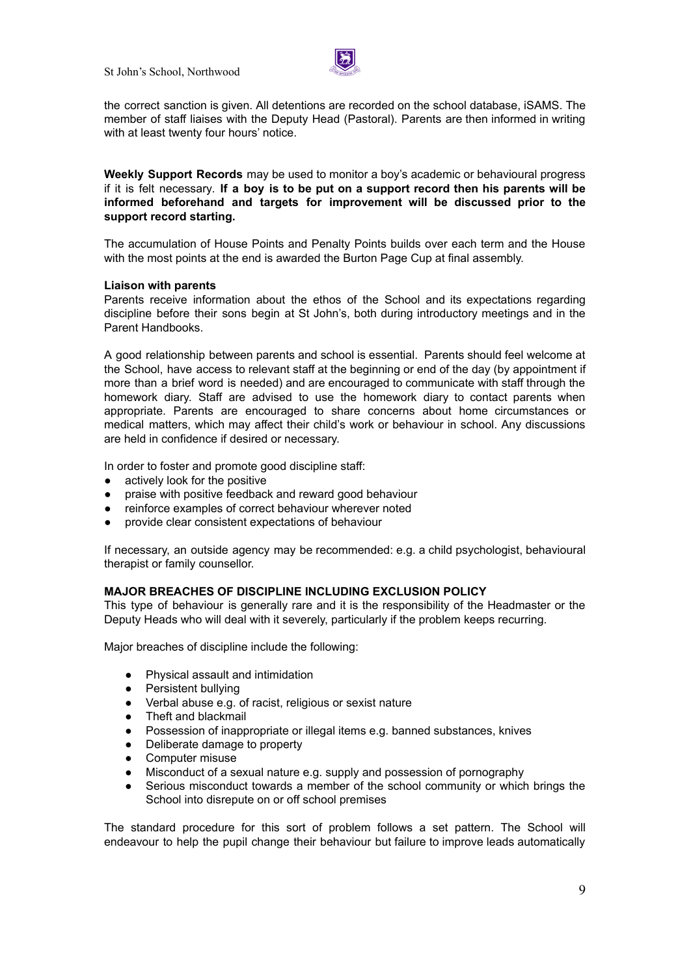St John's School, Northwood



the correct sanction is given. All detentions are recorded on the school database, iSAMS. The member of staff liaises with the Deputy Head (Pastoral). Parents are then informed in writing with at least twenty four hours' notice.

**Weekly Support Records** may be used to monitor a boy's academic or behavioural progress if it is felt necessary*.* **If a boy is to be put on a support record then his parents will be informed beforehand and targets for improvement will be discussed prior to the support record starting.**

The accumulation of House Points and Penalty Points builds over each term and the House with the most points at the end is awarded the Burton Page Cup at final assembly.

#### **Liaison with parents**

Parents receive information about the ethos of the School and its expectations regarding discipline before their sons begin at St John's, both during introductory meetings and in the Parent Handbooks.

A good relationship between parents and school is essential. Parents should feel welcome at the School, have access to relevant staff at the beginning or end of the day (by appointment if more than a brief word is needed) and are encouraged to communicate with staff through the homework diary. Staff are advised to use the homework diary to contact parents when appropriate. Parents are encouraged to share concerns about home circumstances or medical matters, which may affect their child's work or behaviour in school. Any discussions are held in confidence if desired or necessary.

In order to foster and promote good discipline staff:

- actively look for the positive
- praise with positive feedback and reward good behaviour
- reinforce examples of correct behaviour wherever noted
- provide clear consistent expectations of behaviour

If necessary, an outside agency may be recommended: e.g. a child psychologist, behavioural therapist or family counsellor.

#### **MAJOR BREACHES OF DISCIPLINE INCLUDING EXCLUSION POLICY**

This type of behaviour is generally rare and it is the responsibility of the Headmaster or the Deputy Heads who will deal with it severely, particularly if the problem keeps recurring.

Major breaches of discipline include the following:

- Physical assault and intimidation
- Persistent bullying
- Verbal abuse e.g. of racist, religious or sexist nature
- Theft and blackmail
- Possession of inappropriate or illegal items e.g. banned substances, knives
- Deliberate damage to property
- Computer misuse
- Misconduct of a sexual nature e.g. supply and possession of pornography
- Serious misconduct towards a member of the school community or which brings the School into disrepute on or off school premises

The standard procedure for this sort of problem follows a set pattern. The School will endeavour to help the pupil change their behaviour but failure to improve leads automatically